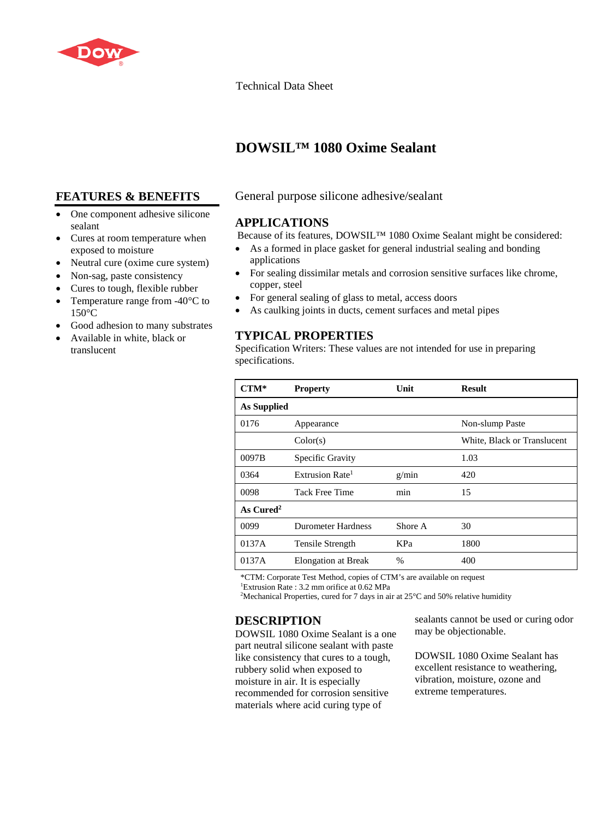

Technical Data Sheet

# **DOWSIL™ 1080 Oxime Sealant**

# **FEATURES & BENEFITS**

- One component adhesive silicone sealant
- Cures at room temperature when exposed to moisture
- Neutral cure (oxime cure system)
- Non-sag, paste consistency
- Cures to tough, flexible rubber
- Temperature range from -40<sup>o</sup>C to  $150^{\circ}$ C
- Good adhesion to many substrates
- Available in white, black or translucent

### General purpose silicone adhesive/sealant

#### **APPLICATIONS**

Because of its features, DOWSIL™ 1080 Oxime Sealant might be considered:

- As a formed in place gasket for general industrial sealing and bonding applications
- For sealing dissimilar metals and corrosion sensitive surfaces like chrome, copper, steel
- For general sealing of glass to metal, access doors
- As caulking joints in ducts, cement surfaces and metal pipes

## **TYPICAL PROPERTIES**

Specification Writers: These values are not intended for use in preparing specifications.

| $CTM*$      | <b>Property</b>             | Unit    | <b>Result</b>               |
|-------------|-----------------------------|---------|-----------------------------|
| As Supplied |                             |         |                             |
| 0176        | Appearance                  |         | Non-slump Paste             |
|             | Color(s)                    |         | White, Black or Translucent |
| 0097B       | Specific Gravity            |         | 1.03                        |
| 0364        | Extrusion Rate <sup>1</sup> | g/min   | 420                         |
| 0098        | Tack Free Time              | min     | 15                          |
| As $Cured2$ |                             |         |                             |
| 0099        | <b>Durometer Hardness</b>   | Shore A | 30                          |
| 0137A       | Tensile Strength            | KPa     | 1800                        |
| 0137A       | <b>Elongation at Break</b>  | %       | 400                         |

\*CTM: Corporate Test Method, copies of CTM's are available on request

1 Extrusion Rate : 3.2 mm orifice at 0.62 MPa

<sup>2</sup>Mechanical Properties, cured for 7 days in air at  $25^{\circ}$ C and 50% relative humidity

### **DESCRIPTION**

DOWSIL 1080 Oxime Sealant is a one part neutral silicone sealant with paste like consistency that cures to a tough, rubbery solid when exposed to moisture in air. It is especially recommended for corrosion sensitive materials where acid curing type of

sealants cannot be used or curing odor may be objectionable.

DOWSIL 1080 Oxime Sealant has excellent resistance to weathering, vibration, moisture, ozone and extreme temperatures.